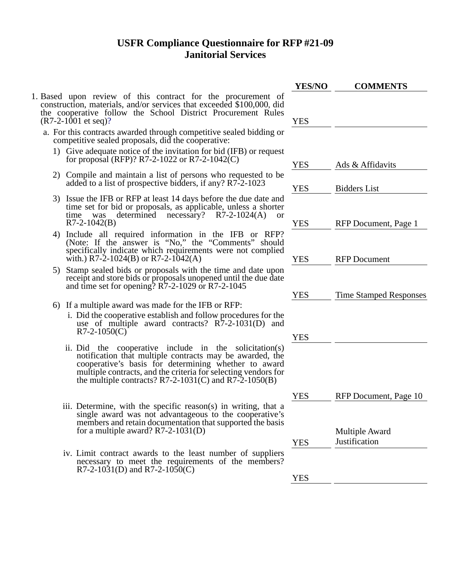## **USFR Compliance Questionnaire for RFP #21-09 Janitorial Services**

|                                                                                                             | <b>YES/NO</b> | <b>COMMENTS</b>               |
|-------------------------------------------------------------------------------------------------------------|---------------|-------------------------------|
| ne procurement of<br>eeded \$100,000, did<br>Procurement Rules                                              | YES           |                               |
| ve sealed bidding or<br>tive:                                                                               |               |                               |
| bid (IFB) or request<br>042(C)                                                                              | YES           | Ads & Affidavits              |
| who requested to be<br>ny? R7-2-1023                                                                        | <b>YES</b>    | <b>Bidders List</b>           |
| ore the due date and<br>ble, unless a shorter<br>$R7-2-1024(A)$<br>or                                       |               |                               |
| the IFB<br>or RFP?<br>Comments" should<br>were not complied                                                 | YES           | RFP Document, Page 1          |
| time and date upon<br>ed until the due date                                                                 | YES           | <b>RFP</b> Document           |
| .7-2-1045                                                                                                   | YES           | <b>Time Stamped Responses</b> |
| or RFP:                                                                                                     |               |                               |
| w procedures for the<br>$R\bar{7}$ -2-1031(D) and                                                           |               |                               |
|                                                                                                             | YES           |                               |
| the solicitation(s)<br>ay be awarded, the<br>whether to award<br>electing vendors for<br>and $R7-2-1050(B)$ |               |                               |
|                                                                                                             | YES           | RFP Document, Page 10         |
| s) in writing, that a<br>to the cooperative's<br>t supported the basis                                      |               |                               |
|                                                                                                             |               | <b>Multiple Award</b>         |
|                                                                                                             | YES           | Justification                 |
| umber of suppliers<br>of the members?                                                                       |               |                               |
|                                                                                                             | YES           |                               |
|                                                                                                             |               |                               |

- 1. Based upon review of this contract for the construction, materials, and/or services that exce the cooperative follow the School District  $(R7-2-1001$  et seq)?
	- a. For this contracts awarded through competitive competitive sealed proposals, did the cooperative:
		- 1) Give adequate notice of the invitation for for proposal (RFP)? R7-2-1022 or R7-2-1
		- 2) Compile and maintain a list of persons w added to a list of prospective bidders, if an
		- 3) Issue the IFB or RFP at least 14 days before the due the IFB or RFP at least 14 days before the due to due the due of  $\alpha$ time set for bid or proposals, as applicately time was determined necessary? determined necessary?  $R7-2-1042(B)$
		- 4) Include all required information in (Note: If the answer is "No," the " $\alpha$ " specifically indicate which requirements with.) R7-2-1024(B) or R7-2-1042(A)
		- 5) Stamp sealed bids or proposals with the receipt and store bids or proposals unopen and time set for opening?  $R\bar{7}$ -2-1029 or R
		- 6) If a multiple award was made for the IFB
			- i. Did the cooperative establish and follow use of multiple award contracts?  $R7-2-1050(C)$
			- ii. Did the cooperative include in notification that multiple contracts may cooperative's basis for determining multiple contracts, and the criteria for selection the multiple contracts?  $R7-2-1031(C)$  and R7-2-1031(C)
			- iii. Determine, with the specific reason(s) single award was not advantageous to members and retain documentation that for a multiple award? R7-2-1031(D)
			- iv. Limit contract awards to the least number necessary to meet the requirements  $R7-2-1031(D)$  and  $R7-2-1050(C)$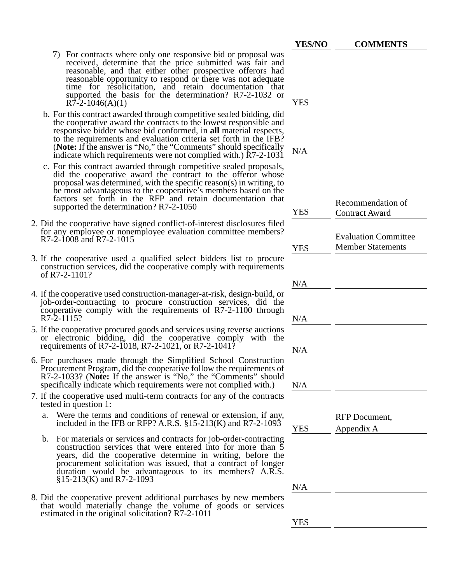|                                                                                                                                                                                                                                                                                                                                                                                                                          | <b>YES/NO</b> | <b>COMMENTS</b>                                         |
|--------------------------------------------------------------------------------------------------------------------------------------------------------------------------------------------------------------------------------------------------------------------------------------------------------------------------------------------------------------------------------------------------------------------------|---------------|---------------------------------------------------------|
| 7) For contracts where only one responsive bid or proposal was<br>received, determine that the price submitted was fair and<br>reasonable, and that either other prospective offerors had<br>reasonable opportunity to respond or there was not adequate<br>time for resolicitation, and retain documentation that<br>supported the basis for the determination? R7-2-1032 or<br>$R7-2-1046(A)(1)$                       | <b>YES</b>    |                                                         |
| b. For this contract awarded through competitive sealed bidding, did<br>the cooperative award the contracts to the lowest responsible and<br>responsive bidder whose bid conformed, in all material respects,<br>to the requirements and evaluation criteria set forth in the IFB?<br>(Note: If the answer is "No," the "Comments" should specifically<br>indicate which requirements were not complied with.) R7-2-1031 | N/A           |                                                         |
| c. For this contract awarded through competitive sealed proposals,<br>did the cooperative award the contract to the offeror whose<br>proposal was determined, with the specific reason(s) in writing, to<br>be most advantageous to the cooperative's members based on the<br>factors set forth in the RFP and retain documentation that<br>supported the determination? R7-2-1050                                       | <b>YES</b>    | Recommendation of<br><b>Contract Award</b>              |
| 2. Did the cooperative have signed conflict-of-interest disclosures filed<br>for any employee or nonemployee evaluation committee members?<br>R7-2-1008 and R7-2-1015                                                                                                                                                                                                                                                    | <b>YES</b>    | <b>Evaluation Committee</b><br><b>Member Statements</b> |
| 3. If the cooperative used a qualified select bidders list to procure<br>construction services, did the cooperative comply with requirements<br>of R7-2-1101?                                                                                                                                                                                                                                                            | N/A           |                                                         |
| 4. If the cooperative used construction-manager-at-risk, design-build, or<br>job-order-contracting to procure construction services, did the<br>cooperative comply with the requirements of R7-2-1100 through<br>R7-2-1115?                                                                                                                                                                                              | N/A           |                                                         |
| 5. If the cooperative procured goods and services using reverse auctions<br>or electronic bidding, did the cooperative comply with the<br>requirements of R7-2-1018, R7-2-1021, or R7-2-1041?                                                                                                                                                                                                                            | N/A           |                                                         |
| 6. For purchases made through the Simplified School Construction<br>Procurement Program, did the cooperative follow the requirements of<br>R7-2-1033? (Note: If the answer is "No," the "Comments" should<br>specifically indicate which requirements were not complied with.)                                                                                                                                           | N/A           |                                                         |
| 7. If the cooperative used multi-term contracts for any of the contracts<br>tested in question 1:                                                                                                                                                                                                                                                                                                                        |               |                                                         |
| Were the terms and conditions of renewal or extension, if any,<br>a.<br>included in the IFB or RFP? A.R.S. $\S 15-213(K)$ and R7-2-1093                                                                                                                                                                                                                                                                                  | <b>YES</b>    | RFP Document,<br>Appendix A                             |
| b. For materials or services and contracts for job-order-contracting<br>construction services that were entered into for more than 5<br>years, did the cooperative determine in writing, before the<br>procurement solicitation was issued, that a contract of longer<br>duration would be advantageous to its members? A.R.S.<br>$\S15-213(K)$ and R7-2-1093                                                            |               |                                                         |
|                                                                                                                                                                                                                                                                                                                                                                                                                          | N/A           |                                                         |

8. Did the cooperative prevent additional purchases by new members that would materially change the volume of goods or services estimated in the original solicitation? R7-2-1011

YES